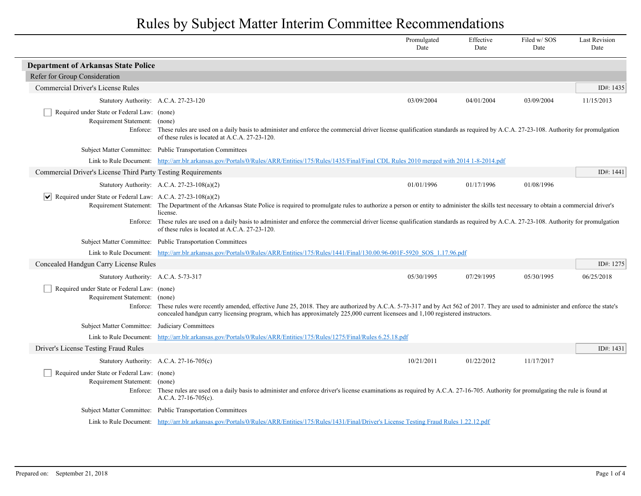|                                                                             |                                                                                                                                                                                                                                                                                                                                                                                                                                                                        | Promulgated<br>Date | Effective<br>Date | Filed w/SOS<br>Date | <b>Last Revision</b><br>Date |
|-----------------------------------------------------------------------------|------------------------------------------------------------------------------------------------------------------------------------------------------------------------------------------------------------------------------------------------------------------------------------------------------------------------------------------------------------------------------------------------------------------------------------------------------------------------|---------------------|-------------------|---------------------|------------------------------|
| <b>Department of Arkansas State Police</b>                                  |                                                                                                                                                                                                                                                                                                                                                                                                                                                                        |                     |                   |                     |                              |
| Refer for Group Consideration                                               |                                                                                                                                                                                                                                                                                                                                                                                                                                                                        |                     |                   |                     |                              |
| Commercial Driver's License Rules                                           |                                                                                                                                                                                                                                                                                                                                                                                                                                                                        |                     |                   |                     | ID#: 1435                    |
| Statutory Authority: A.C.A. 27-23-120                                       |                                                                                                                                                                                                                                                                                                                                                                                                                                                                        | 03/09/2004          | 04/01/2004        | 03/09/2004          | 11/15/2013                   |
| Required under State or Federal Law: (none)<br>Requirement Statement:       | (none)<br>Enforce: These rules are used on a daily basis to administer and enforce the commercial driver license qualification standards as required by A.C.A. 27-23-108. Authority for promulgation<br>of these rules is located at A.C.A. 27-23-120.                                                                                                                                                                                                                 |                     |                   |                     |                              |
|                                                                             | Subject Matter Committee: Public Transportation Committees                                                                                                                                                                                                                                                                                                                                                                                                             |                     |                   |                     |                              |
|                                                                             | Link to Rule Document: http://arr.blr.arkansas.gov/Portals/0/Rules/ARR/Entities/175/Rules/1435/Final/Final CDL Rules 2010 merged with 2014 1-8-2014.pdf                                                                                                                                                                                                                                                                                                                |                     |                   |                     |                              |
| Commercial Driver's License Third Party Testing Requirements                |                                                                                                                                                                                                                                                                                                                                                                                                                                                                        |                     |                   |                     | ID#: 1441                    |
|                                                                             | Statutory Authority: A.C.A. 27-23-108(a)(2)                                                                                                                                                                                                                                                                                                                                                                                                                            | 01/01/1996          | 01/17/1996        | 01/08/1996          |                              |
| $\triangledown$ Required under State or Federal Law: A.C.A. 27-23-108(a)(2) | Requirement Statement: The Department of the Arkansas State Police is required to promulgate rules to authorize a person or entity to administer the skills test necessary to obtain a commercial driver's<br>license.<br>Enforce: These rules are used on a daily basis to administer and enforce the commercial driver license qualification standards as required by A.C.A. 27-23-108. Authority for promulgation<br>of these rules is located at A.C.A. 27-23-120. |                     |                   |                     |                              |
|                                                                             | Subject Matter Committee: Public Transportation Committees                                                                                                                                                                                                                                                                                                                                                                                                             |                     |                   |                     |                              |
|                                                                             | Link to Rule Document: http://arr.blr.arkansas.gov/Portals/0/Rules/ARR/Entities/175/Rules/1441/Final/130.00.96-001F-5920 SOS 1.17.96.pdf                                                                                                                                                                                                                                                                                                                               |                     |                   |                     |                              |
| Concealed Handgun Carry License Rules                                       |                                                                                                                                                                                                                                                                                                                                                                                                                                                                        |                     |                   |                     | ID#: 1275                    |
| Statutory Authority: A.C.A. 5-73-317                                        |                                                                                                                                                                                                                                                                                                                                                                                                                                                                        | 05/30/1995          | 07/29/1995        | 05/30/1995          | 06/25/2018                   |
| Required under State or Federal Law: (none)<br>Requirement Statement:       | (none)<br>Enforce: These rules were recently amended, effective June 25, 2018. They are authorized by A.C.A. 5-73-317 and by Act 562 of 2017. They are used to administer and enforce the state's<br>concealed handgun carry licensing program, which has approximately 225,000 current licensees and 1,100 registered instructors.                                                                                                                                    |                     |                   |                     |                              |
| Subject Matter Committee: Judiciary Committees                              |                                                                                                                                                                                                                                                                                                                                                                                                                                                                        |                     |                   |                     |                              |
| Link to Rule Document:                                                      | http://arr.blr.arkansas.gov/Portals/0/Rules/ARR/Entities/175/Rules/1275/Final/Rules 6.25.18.pdf                                                                                                                                                                                                                                                                                                                                                                        |                     |                   |                     |                              |
| Driver's License Testing Fraud Rules                                        |                                                                                                                                                                                                                                                                                                                                                                                                                                                                        |                     |                   |                     | ID#: 1431                    |
|                                                                             | Statutory Authority: A.C.A. 27-16-705(c)                                                                                                                                                                                                                                                                                                                                                                                                                               | 10/21/2011          | 01/22/2012        | 11/17/2017          |                              |
| Required under State or Federal Law: (none)<br>Requirement Statement:       | (none)<br>Enforce: These rules are used on a daily basis to administer and enforce driver's license examinations as required by A.C.A. 27-16-705. Authority for promulgating the rule is found at<br>$A.C.A. 27-16-705(c)$ .                                                                                                                                                                                                                                           |                     |                   |                     |                              |
|                                                                             | Subject Matter Committee: Public Transportation Committees                                                                                                                                                                                                                                                                                                                                                                                                             |                     |                   |                     |                              |
|                                                                             | Link to Rule Document: http://arr.blr.arkansas.gov/Portals/0/Rules/ARR/Entities/175/Rules/1431/Final/Driver's License Testing Fraud Rules 1.22.12.pdf                                                                                                                                                                                                                                                                                                                  |                     |                   |                     |                              |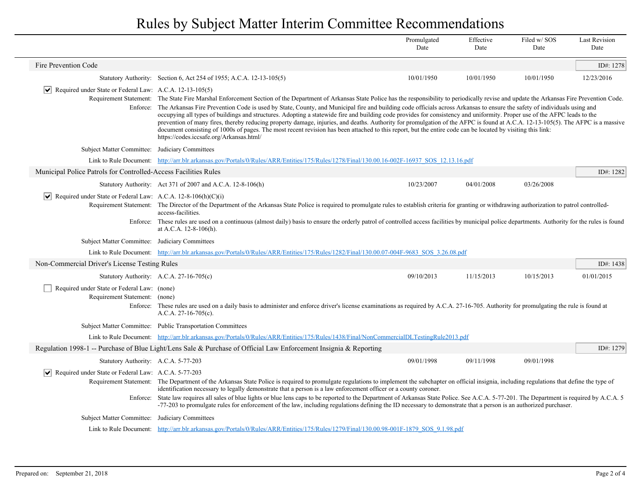|                                                                                 |                                                                                                                                                                                                                                                                                                                                                                                                                                                                                                                                                                                                                                                                                                                                                                                                                                                                                                                                                                          | Promulgated<br>Date | Effective<br>Date | Filed w/SOS<br>Date | <b>Last Revision</b><br>Date |
|---------------------------------------------------------------------------------|--------------------------------------------------------------------------------------------------------------------------------------------------------------------------------------------------------------------------------------------------------------------------------------------------------------------------------------------------------------------------------------------------------------------------------------------------------------------------------------------------------------------------------------------------------------------------------------------------------------------------------------------------------------------------------------------------------------------------------------------------------------------------------------------------------------------------------------------------------------------------------------------------------------------------------------------------------------------------|---------------------|-------------------|---------------------|------------------------------|
| Fire Prevention Code                                                            |                                                                                                                                                                                                                                                                                                                                                                                                                                                                                                                                                                                                                                                                                                                                                                                                                                                                                                                                                                          |                     |                   |                     | ID#: 1278                    |
|                                                                                 | Statutory Authority: Section 6, Act 254 of 1955; A.C.A. 12-13-105(5)                                                                                                                                                                                                                                                                                                                                                                                                                                                                                                                                                                                                                                                                                                                                                                                                                                                                                                     | 10/01/1950          | 10/01/1950        | 10/01/1950          | 12/23/2016                   |
| $ \mathbf{v} $ Required under State or Federal Law: A.C.A. 12-13-105(5)         | Requirement Statement: The State Fire Marshal Enforcement Section of the Department of Arkansas State Police has the responsibility to periodically revise and update the Arkansas Fire Prevention Code.<br>Enforce: The Arkansas Fire Prevention Code is used by State, County, and Municipal fire and building code officials across Arkansas to ensure the safety of individuals using and<br>occupying all types of buildings and structures. Adopting a statewide fire and building code provides for consistency and uniformity. Proper use of the AFPC leads to the<br>prevention of many fires, thereby reducing property damage, injuries, and deaths. Authority for promulgation of the AFPC is found at A.C.A. 12-13-105(5). The AFPC is a massive<br>document consisting of 1000s of pages. The most recent revision has been attached to this report, but the entire code can be located by visiting this link:<br>https://codes.iccsafe.org/Arkansas.html/ |                     |                   |                     |                              |
| Subject Matter Committee: Judiciary Committees                                  |                                                                                                                                                                                                                                                                                                                                                                                                                                                                                                                                                                                                                                                                                                                                                                                                                                                                                                                                                                          |                     |                   |                     |                              |
|                                                                                 | Link to Rule Document: http://arr.blr.arkansas.gov/Portals/0/Rules/ARR/Entities/175/Rules/1278/Final/130.00.16-002F-16937 SOS 12.13.16.pdf                                                                                                                                                                                                                                                                                                                                                                                                                                                                                                                                                                                                                                                                                                                                                                                                                               |                     |                   |                     |                              |
| Municipal Police Patrols for Controlled-Access Facilities Rules                 |                                                                                                                                                                                                                                                                                                                                                                                                                                                                                                                                                                                                                                                                                                                                                                                                                                                                                                                                                                          |                     |                   |                     | ID#: 1282                    |
|                                                                                 | Statutory Authority: Act 371 of 2007 and A.C.A. 12-8-106(h)                                                                                                                                                                                                                                                                                                                                                                                                                                                                                                                                                                                                                                                                                                                                                                                                                                                                                                              | 10/23/2007          | 04/01/2008        | 03/26/2008          |                              |
| $ \mathbf{v} $ Required under State or Federal Law: A.C.A. 12-8-106(h)(C)(i)    | Requirement Statement: The Director of the Department of the Arkansas State Police is required to promulgate rules to establish criteria for granting or withdrawing authorization to patrol controlled-<br>access-facilities.<br>Enforce: These rules are used on a continuous (almost daily) basis to ensure the orderly patrol of controlled access facilities by municipal police departments. Authority for the rules is found<br>at A.C.A. 12-8-106(h).                                                                                                                                                                                                                                                                                                                                                                                                                                                                                                            |                     |                   |                     |                              |
| Subject Matter Committee: Judiciary Committees                                  |                                                                                                                                                                                                                                                                                                                                                                                                                                                                                                                                                                                                                                                                                                                                                                                                                                                                                                                                                                          |                     |                   |                     |                              |
|                                                                                 | Link to Rule Document: http://arr.blr.arkansas.gov/Portals/0/Rules/ARR/Entities/175/Rules/1282/Final/130.00.07-004F-9683 SOS 3.26.08.pdf                                                                                                                                                                                                                                                                                                                                                                                                                                                                                                                                                                                                                                                                                                                                                                                                                                 |                     |                   |                     |                              |
| Non-Commercial Driver's License Testing Rules                                   |                                                                                                                                                                                                                                                                                                                                                                                                                                                                                                                                                                                                                                                                                                                                                                                                                                                                                                                                                                          |                     |                   |                     | ID#: 1438                    |
|                                                                                 | Statutory Authority: A.C.A. 27-16-705(c)                                                                                                                                                                                                                                                                                                                                                                                                                                                                                                                                                                                                                                                                                                                                                                                                                                                                                                                                 | 09/10/2013          | 11/15/2013        | 10/15/2013          | 01/01/2015                   |
| Required under State or Federal Law: (none)<br>Requirement Statement: (none)    | Enforce: These rules are used on a daily basis to administer and enforce driver's license examinations as required by A.C.A. 27-16-705. Authority for promulgating the rule is found at<br>A.C.A. $27-16-705(c)$ .                                                                                                                                                                                                                                                                                                                                                                                                                                                                                                                                                                                                                                                                                                                                                       |                     |                   |                     |                              |
|                                                                                 | Subject Matter Committee: Public Transportation Committees                                                                                                                                                                                                                                                                                                                                                                                                                                                                                                                                                                                                                                                                                                                                                                                                                                                                                                               |                     |                   |                     |                              |
|                                                                                 | Link to Rule Document: http://arr.blr.arkansas.gov/Portals/0/Rules/ARR/Entities/175/Rules/1438/Final/NonCommercialDLTestingRule2013.pdf                                                                                                                                                                                                                                                                                                                                                                                                                                                                                                                                                                                                                                                                                                                                                                                                                                  |                     |                   |                     |                              |
|                                                                                 | Regulation 1998-1 -- Purchase of Blue Light/Lens Sale & Purchase of Official Law Enforcement Insignia & Reporting                                                                                                                                                                                                                                                                                                                                                                                                                                                                                                                                                                                                                                                                                                                                                                                                                                                        |                     |                   |                     | ID#: 1279                    |
| Statutory Authority: A.C.A. 5-77-203                                            |                                                                                                                                                                                                                                                                                                                                                                                                                                                                                                                                                                                                                                                                                                                                                                                                                                                                                                                                                                          | 09/01/1998          | 09/11/1998        | 09/01/1998          |                              |
| $ \mathbf{v} $ Required under State or Federal Law: A.C.A. 5-77-203<br>Enforce: | Requirement Statement: The Department of the Arkansas State Police is required to promulgate regulations to implement the subchapter on official insignia, including regulations that define the type of<br>identification necessary to legally demonstrate that a person is a law enforcement officer or a county coroner.<br>State law requires all sales of blue lights or blue lens caps to be reported to the Department of Arkansas State Police. See A.C.A. 5-77-201. The Department is required by A.C.A. 5<br>-77-203 to promulgate rules for enforcement of the law, including regulations defining the ID necessary to demonstrate that a person is an authorized purchaser.                                                                                                                                                                                                                                                                                  |                     |                   |                     |                              |
| Subject Matter Committee: Judiciary Committees                                  |                                                                                                                                                                                                                                                                                                                                                                                                                                                                                                                                                                                                                                                                                                                                                                                                                                                                                                                                                                          |                     |                   |                     |                              |
|                                                                                 | Link to Rule Document: http://arr.blr.arkansas.gov/Portals/0/Rules/ARR/Entities/175/Rules/1279/Final/130.00.98-001F-1879 SOS 9.1.98.pdf                                                                                                                                                                                                                                                                                                                                                                                                                                                                                                                                                                                                                                                                                                                                                                                                                                  |                     |                   |                     |                              |
|                                                                                 |                                                                                                                                                                                                                                                                                                                                                                                                                                                                                                                                                                                                                                                                                                                                                                                                                                                                                                                                                                          |                     |                   |                     |                              |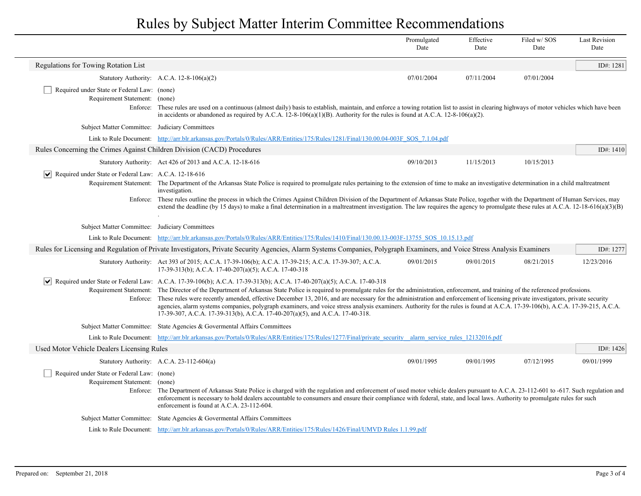|                                                                                                                                                                           |                                                                                                                                                                                                                                                                                                                                                                                                                                                                                                                                                                                                                                                                                                                                                                                         | Promulgated<br>Date | Effective<br>Date | Filed w/ SOS<br>Date | <b>Last Revision</b><br>Date |
|---------------------------------------------------------------------------------------------------------------------------------------------------------------------------|-----------------------------------------------------------------------------------------------------------------------------------------------------------------------------------------------------------------------------------------------------------------------------------------------------------------------------------------------------------------------------------------------------------------------------------------------------------------------------------------------------------------------------------------------------------------------------------------------------------------------------------------------------------------------------------------------------------------------------------------------------------------------------------------|---------------------|-------------------|----------------------|------------------------------|
| Regulations for Towing Rotation List                                                                                                                                      |                                                                                                                                                                                                                                                                                                                                                                                                                                                                                                                                                                                                                                                                                                                                                                                         |                     |                   |                      | ID#: 1281                    |
|                                                                                                                                                                           | Statutory Authority: A.C.A. 12-8-106(a)(2)                                                                                                                                                                                                                                                                                                                                                                                                                                                                                                                                                                                                                                                                                                                                              | 07/01/2004          | 07/11/2004        | 07/01/2004           |                              |
| Required under State or Federal Law: (none)<br>Requirement Statement: (none)                                                                                              | Enforce: These rules are used on a continuous (almost daily) basis to establish, maintain, and enforce a towing rotation list to assist in clearing highways of motor vehicles which have been<br>in accidents or abandoned as required by A.C.A. 12-8-106(a)(1)(B). Authority for the rules is found at A.C.A. 12-8-106(a)(2).                                                                                                                                                                                                                                                                                                                                                                                                                                                         |                     |                   |                      |                              |
| Subject Matter Committee: Judiciary Committees                                                                                                                            |                                                                                                                                                                                                                                                                                                                                                                                                                                                                                                                                                                                                                                                                                                                                                                                         |                     |                   |                      |                              |
|                                                                                                                                                                           | Link to Rule Document: http://arr.blr.arkansas.gov/Portals/0/Rules/ARR/Entities/175/Rules/1281/Final/130.00.04-003F SOS 7.1.04.pdf                                                                                                                                                                                                                                                                                                                                                                                                                                                                                                                                                                                                                                                      |                     |                   |                      |                              |
| Rules Concerning the Crimes Against Children Division (CACD) Procedures                                                                                                   |                                                                                                                                                                                                                                                                                                                                                                                                                                                                                                                                                                                                                                                                                                                                                                                         |                     |                   |                      | ID#: $1410$                  |
|                                                                                                                                                                           | Statutory Authority: Act 426 of 2013 and A.C.A. 12-18-616                                                                                                                                                                                                                                                                                                                                                                                                                                                                                                                                                                                                                                                                                                                               | 09/10/2013          | 11/15/2013        | 10/15/2013           |                              |
| $\vert\bm{\mathsf{v}}\vert$<br>Required under State or Federal Law: A.C.A. 12-18-616                                                                                      | Requirement Statement: The Department of the Arkansas State Police is required to promulgate rules pertaining to the extension of time to make an investigative determination in a child maltreatment<br>investigation.<br>Enforce: These rules outline the process in which the Crimes Against Children Division of the Department of Arkansas State Police, together with the Department of Human Services, may<br>extend the deadline (by 15 days) to make a final determination in a maltreatment investigation. The law requires the agency to promulgate these rules at A.C.A. 12-18-616(a)(3)(B)                                                                                                                                                                                 |                     |                   |                      |                              |
|                                                                                                                                                                           |                                                                                                                                                                                                                                                                                                                                                                                                                                                                                                                                                                                                                                                                                                                                                                                         |                     |                   |                      |                              |
| Subject Matter Committee: Judiciary Committees                                                                                                                            |                                                                                                                                                                                                                                                                                                                                                                                                                                                                                                                                                                                                                                                                                                                                                                                         |                     |                   |                      |                              |
|                                                                                                                                                                           | Link to Rule Document: http://arr.blr.arkansas.gov/Portals/0/Rules/ARR/Entities/175/Rules/1410/Final/130.00.13-003F-13755 SOS 10.15.13.pdf                                                                                                                                                                                                                                                                                                                                                                                                                                                                                                                                                                                                                                              |                     |                   |                      |                              |
| Rules for Licensing and Regulation of Private Investigators, Private Security Agencies, Alarm Systems Companies, Polygraph Examiners, and Voice Stress Analysis Examiners |                                                                                                                                                                                                                                                                                                                                                                                                                                                                                                                                                                                                                                                                                                                                                                                         |                     |                   |                      | ID#: 1277                    |
|                                                                                                                                                                           | Statutory Authority: Act 393 of 2015; A.C.A. 17-39-106(b); A.C.A. 17-39-215; A.C.A. 17-39-307; A.C.A.<br>17-39-313(b); A.C.A. 17-40-207(a)(5); A.C.A. 17-40-318                                                                                                                                                                                                                                                                                                                                                                                                                                                                                                                                                                                                                         | 09/01/2015          | 09/01/2015        | 08/21/2015           | 12/23/2016                   |
| $ \bm{\mathsf{v}} $                                                                                                                                                       | Required under State or Federal Law: A.C.A. 17-39-106(b); A.C.A. 17-39-313(b); A.C.A. 17-40-207(a)(5); A.C.A. 17-40-318<br>Requirement Statement: The Director of the Department of Arkansas State Police is required to promulgate rules for the administration, enforcement, and training of the referenced professions.<br>Enforce: These rules were recently amended, effective December 13, 2016, and are necessary for the administration and enforcement of licensing private investigators, private security<br>agencies, alarm systems companies, polygraph examiners, and voice stress analysis examiners. Authority for the rules is found at A.C.A. 17-39-106(b), A.C.A. 17-39-215, A.C.A.<br>17-39-307, A.C.A. 17-39-313(b), A.C.A. 17-40-207(a)(5), and A.C.A. 17-40-318. |                     |                   |                      |                              |
|                                                                                                                                                                           | Subject Matter Committee: State Agencies & Governental Affairs Committees                                                                                                                                                                                                                                                                                                                                                                                                                                                                                                                                                                                                                                                                                                               |                     |                   |                      |                              |
|                                                                                                                                                                           | Link to Rule Document: http://arr.blr.arkansas.gov/Portals/0/Rules/ARR/Entities/175/Rules/1277/Final/private security alarm service rules 12132016.pdf                                                                                                                                                                                                                                                                                                                                                                                                                                                                                                                                                                                                                                  |                     |                   |                      |                              |
| Used Motor Vehicle Dealers Licensing Rules                                                                                                                                |                                                                                                                                                                                                                                                                                                                                                                                                                                                                                                                                                                                                                                                                                                                                                                                         |                     |                   |                      | ID#: 1426                    |
|                                                                                                                                                                           | Statutory Authority: A.C.A. 23-112-604(a)                                                                                                                                                                                                                                                                                                                                                                                                                                                                                                                                                                                                                                                                                                                                               | 09/01/1995          | 09/01/1995        | 07/12/1995           | 09/01/1999                   |
| Required under State or Federal Law: (none)<br>Requirement Statement: (none)                                                                                              | Enforce: The Department of Arkansas State Police is charged with the regulation and enforcement of used motor vehicle dealers pursuant to A.C.A. 23-112-601 to -617. Such regulation and<br>enforcement is necessary to hold dealers accountable to consumers and ensure their compliance with federal, state, and local laws. Authority to promulgate rules for such<br>enforcement is found at A.C.A. 23-112-604.                                                                                                                                                                                                                                                                                                                                                                     |                     |                   |                      |                              |
|                                                                                                                                                                           | Subject Matter Committee: State Agencies & Governental Affairs Committees                                                                                                                                                                                                                                                                                                                                                                                                                                                                                                                                                                                                                                                                                                               |                     |                   |                      |                              |
|                                                                                                                                                                           | Link to Rule Document: http://arr.blr.arkansas.gov/Portals/0/Rules/ARR/Entities/175/Rules/1426/Final/UMVD Rules 1.1.99.pdf                                                                                                                                                                                                                                                                                                                                                                                                                                                                                                                                                                                                                                                              |                     |                   |                      |                              |